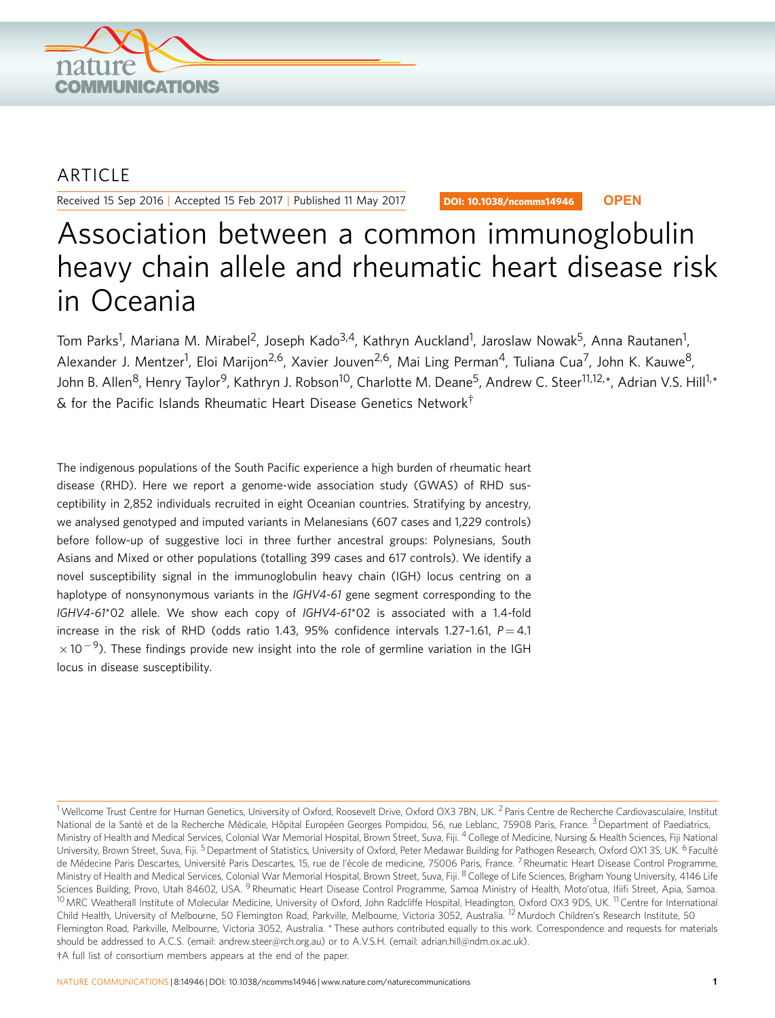

## ARTICLE

Received 15 Sep 2016 | Accepted 15 Feb 2017 | Published 11 May 2017

DOI: 10.1038/ncomms14946 **OPEN**

# Association between a common immunoglobulin heavy chain allele and rheumatic heart disease risk in Oceania

Tom Parks<sup>1</sup>, Mariana M. Mirabel<sup>2</sup>, Joseph Kado<sup>3,4</sup>, Kathryn Auckland<sup>1</sup>, Jaroslaw Nowak<sup>5</sup>, Anna Rautanen<sup>1</sup>, Alexander J. Mentzer<sup>1</sup>, Eloi Marijon<sup>2,6</sup>, Xavier Jouven<sup>2,6</sup>, Mai Ling Perman<sup>4</sup>, Tuliana Cua<sup>7</sup>, John K. Kauwe<sup>8</sup>, John B. Allen<sup>8</sup>, Henry Taylor<sup>9</sup>, Kathryn J. Robson<sup>10</sup>, Charlotte M. Deane<sup>5</sup>, Andrew C. Steer<sup>11,12,\*</sup>, Adrian V.S. Hill<sup>1,\*</sup>  $\&$  for the Pacific Islands Rheumatic Heart Disease Genetics Network $^{\dagger}$ 

The indigenous populations of the South Pacific experience a high burden of rheumatic heart disease (RHD). Here we report a genome-wide association study (GWAS) of RHD susceptibility in 2,852 individuals recruited in eight Oceanian countries. Stratifying by ancestry, we analysed genotyped and imputed variants in Melanesians (607 cases and 1,229 controls) before follow-up of suggestive loci in three further ancestral groups: Polynesians, South Asians and Mixed or other populations (totalling 399 cases and 617 controls). We identify a novel susceptibility signal in the immunoglobulin heavy chain (IGH) locus centring on a haplotype of nonsynonymous variants in the IGHV4-61 gene segment corresponding to the IGHV4-61\*02 allele. We show each copy of IGHV4-61\*02 is associated with a 1.4-fold increase in the risk of RHD (odds ratio 1.43, 95% confidence intervals 1.27-1.61,  $P = 4.1$  $\times$  10<sup>-9</sup>). These findings provide new insight into the role of germline variation in the IGH locus in disease susceptibility.

<sup>&</sup>lt;sup>1</sup> Wellcome Trust Centre for Human Genetics, University of Oxford, Roosevelt Drive, Oxford OX3 7BN, UK. <sup>2</sup> Paris Centre de Recherche Cardiovasculaire, Institut National de la Santé et de la Recherche Médicale, Hôpital Européen Georges Pompidou, 56, rue Leblanc, 75908 Paris, France. <sup>3</sup>Department of Paediatrics, Ministry of Health and Medical Services, Colonial War Memorial Hospital, Brown Street, Suva, Fiji. <sup>4</sup> College of Medicine, Nursing & Health Sciences, Fiji National University, Brown Street, Suva, Fiji. <sup>5</sup> Department of Statistics, University of Oxford, Peter Medawar Building for Pathogen Research, Oxford OX1 3S, UK. <sup>6</sup> Faculté de Médecine Paris Descartes, Université Paris Descartes, 15, rue de l'école de medicine, 75006 Paris, France. 7 Rheumatic Heart Disease Control Programme, Ministry of Health and Medical Services, Colonial War Memorial Hospital, Brown Street, Suva, Fiji. <sup>8</sup> College of Life Sciences, Brigham Young University, 4146 Life Sciences Building, Provo, Utah 84602, USA. <sup>9</sup> Rheumatic Heart Disease Control Programme, Samoa Ministry of Health, Moto'otua, Ifiifi Street, Apia, Samoa. <sup>10</sup> MRC Weatherall Institute of Molecular Medicine, University of Oxford, John Radcliffe Hospital, Headington, Oxford OX3 9DS, UK.<sup>11</sup> Centre for International Child Health, University of Melbourne, 50 Flemington Road, Parkville, Melbourne, Victoria 3052, Australia. <sup>12</sup> Murdoch Children's Research Institute, 50 Flemington Road, Parkville, Melbourne, Victoria 3052, Australia. \* These authors contributed equally to this work. Correspondence and requests for materials should be addressed to A.C.S. (email: [andrew.steer@rch.org.au\)](mailto:andrew.steer@rch.org.au) or to A.V.S.H. (email: [adrian.hill@ndm.ox.ac.uk](mailto:adrian.hill@ndm.ox.ac.uk)). <sup>†</sup>A full list of consortium members appears at the end of the paper.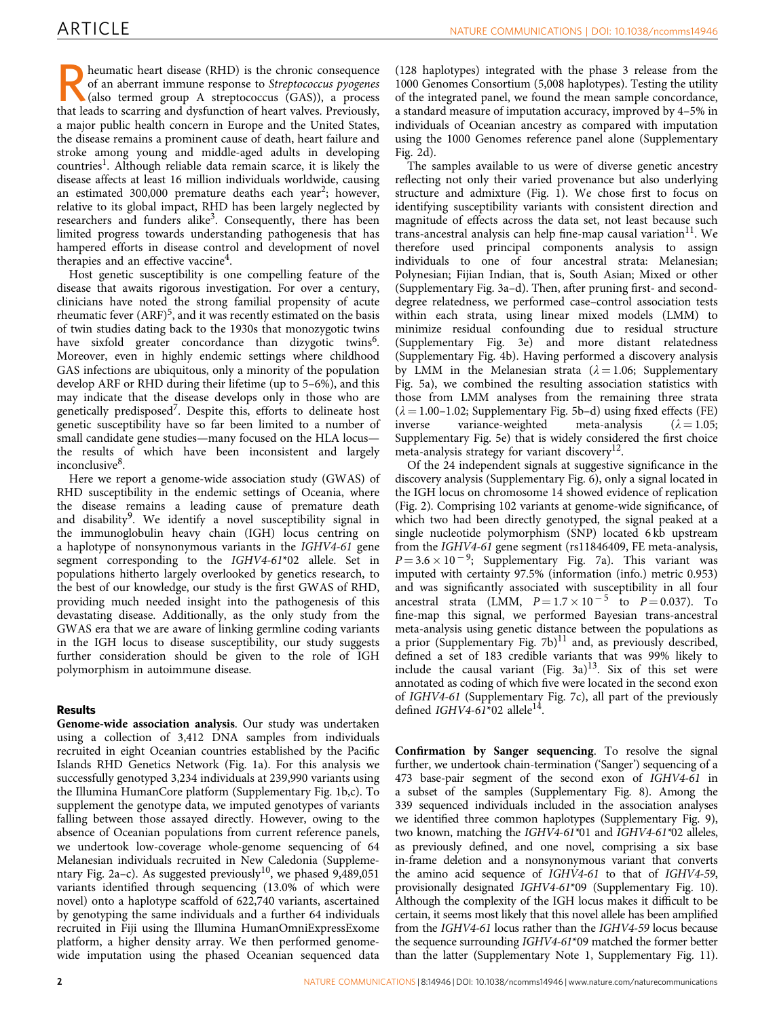Frequence of an aberrant immune response to *Streptococcus pyogenes*<br>(also termed group A streptococcus (GAS)), a process<br>that leads to scarring and dysfunction of heart values. Previously of an aberrant immune response to Streptococcus pyogenes that leads to scarring and dysfunction of heart valves. Previously, a major public health concern in Europe and the United States, the disease remains a prominent cause of death, heart failure and stroke among young and middle-aged adults in developing countries<sup>[1](#page-7-0)</sup>. Although reliable data remain scarce, it is likely the disease affects at least 16 million individuals worldwide, causing an estimated 300,000 premature deaths each year<sup>[2](#page-7-0)</sup>; however, relative to its global impact, RHD has been largely neglected by researchers and funders alike<sup>[3](#page-7-0)</sup>. Consequently, there has been limited progress towards understanding pathogenesis that has hampered efforts in disease control and development of novel therapies and an effective vaccine<sup>[4](#page-7-0)</sup>.

Host genetic susceptibility is one compelling feature of the disease that awaits rigorous investigation. For over a century, clinicians have noted the strong familial propensity of acute rheumatic fever  $(ARF)^5$  $(ARF)^5$ , and it was recently estimated on the basis of twin studies dating back to the 1930s that monozygotic twins have sixfold greater concordance than dizygotic twins<sup>6</sup>. Moreover, even in highly endemic settings where childhood GAS infections are ubiquitous, only a minority of the population develop ARF or RHD during their lifetime (up to 5–6%), and this may indicate that the disease develops only in those who are genetically predisposed<sup>7</sup>. Despite this, efforts to delineate host genetic susceptibility have so far been limited to a number of small candidate gene studies—many focused on the HLA locus the results of which have been inconsistent and largely inconclusive<sup>8</sup>.

Here we report a genome-wide association study (GWAS) of RHD susceptibility in the endemic settings of Oceania, where the disease remains a leading cause of premature death and disability<sup>9</sup>. We identify a novel susceptibility signal in the immunoglobulin heavy chain (IGH) locus centring on a haplotype of nonsynonymous variants in the IGHV4-61 gene segment corresponding to the IGHV4-61\*02 allele. Set in populations hitherto largely overlooked by genetics research, to the best of our knowledge, our study is the first GWAS of RHD, providing much needed insight into the pathogenesis of this devastating disease. Additionally, as the only study from the GWAS era that we are aware of linking germline coding variants in the IGH locus to disease susceptibility, our study suggests further consideration should be given to the role of IGH polymorphism in autoimmune disease.

### Results

Genome-wide association analysis. Our study was undertaken using a collection of 3,412 DNA samples from individuals recruited in eight Oceanian countries established by the Pacific Islands RHD Genetics Network ([Fig. 1a\)](#page-2-0). For this analysis we successfully genotyped 3,234 individuals at 239,990 variants using the Illumina HumanCore platform (Supplementary Fig. 1b,c). To supplement the genotype data, we imputed genotypes of variants falling between those assayed directly. However, owing to the absence of Oceanian populations from current reference panels, we undertook low-coverage whole-genome sequencing of 64 Melanesian individuals recruited in New Caledonia (Supplementary Fig. 2a–c). As suggested previously<sup>10</sup>, we phased  $9,489,051$ variants identified through sequencing (13.0% of which were novel) onto a haplotype scaffold of 622,740 variants, ascertained by genotyping the same individuals and a further 64 individuals recruited in Fiji using the Illumina HumanOmniExpressExome platform, a higher density array. We then performed genomewide imputation using the phased Oceanian sequenced data

(128 haplotypes) integrated with the phase 3 release from the 1000 Genomes Consortium (5,008 haplotypes). Testing the utility of the integrated panel, we found the mean sample concordance, a standard measure of imputation accuracy, improved by 4–5% in individuals of Oceanian ancestry as compared with imputation using the 1000 Genomes reference panel alone (Supplementary Fig. 2d).

The samples available to us were of diverse genetic ancestry reflecting not only their varied provenance but also underlying structure and admixture [\(Fig. 1](#page-2-0)). We chose first to focus on identifying susceptibility variants with consistent direction and magnitude of effects across the data set, not least because such trans-ancestral analysis can help fine-map causal variation $11$ . We therefore used principal components analysis to assign individuals to one of four ancestral strata: Melanesian; Polynesian; Fijian Indian, that is, South Asian; Mixed or other (Supplementary Fig. 3a–d). Then, after pruning first- and seconddegree relatedness, we performed case–control association tests within each strata, using linear mixed models (LMM) to minimize residual confounding due to residual structure (Supplementary Fig. 3e) and more distant relatedness (Supplementary Fig. 4b). Having performed a discovery analysis by LMM in the Melanesian strata ( $\lambda = 1.06$ ; Supplementary Fig. 5a), we combined the resulting association statistics with those from LMM analyses from the remaining three strata  $(\lambda = 1.00-1.02;$  Supplementary Fig. 5b–d) using fixed effects (FE) inverse variance-weighted meta-analysis  $(\lambda = 1.05;$ variance-weighted Supplementary Fig. 5e) that is widely considered the first choice meta-analysis strategy for variant discovery<sup>[12](#page-7-0)</sup>.

Of the 24 independent signals at suggestive significance in the discovery analysis (Supplementary Fig. 6), only a signal located in the IGH locus on chromosome 14 showed evidence of replication ([Fig. 2\)](#page-3-0). Comprising 102 variants at genome-wide significance, of which two had been directly genotyped, the signal peaked at a single nucleotide polymorphism (SNP) located 6 kb upstream from the IGHV4-61 gene segment (rs11846409, FE meta-analysis,  $P = 3.6 \times 10^{-9}$ ; Supplementary Fig. 7a). This variant was imputed with certainty 97.5% (information (info.) metric 0.953) and was significantly associated with susceptibility in all four ancestral strata (LMM,  $P = 1.7 \times 10^{-5}$  to  $P = 0.037$ ). To fine-map this signal, we performed Bayesian trans-ancestral meta-analysis using genetic distance between the populations as a prior (Supplementary Fig. 7b) $^{11}$  $^{11}$  $^{11}$  and, as previously described, defined a set of 183 credible variants that was 99% likely to include the causal variant ([Fig. 3a](#page-3-0)) $13$ . Six of this set were annotated as coding of which five were located in the second exon of IGHV4-61 (Supplementary Fig. 7c), all part of the previously defined IGHV4-61\*02 allele<sup>14</sup>.

Confirmation by Sanger sequencing. To resolve the signal further, we undertook chain-termination ('Sanger') sequencing of a 473 base-pair segment of the second exon of IGHV4-61 in a subset of the samples (Supplementary Fig. 8). Among the 339 sequenced individuals included in the association analyses we identified three common haplotypes (Supplementary Fig. 9), two known, matching the IGHV4-61\*01 and IGHV4-61\*02 alleles, as previously defined, and one novel, comprising a six base in-frame deletion and a nonsynonymous variant that converts the amino acid sequence of IGHV4-61 to that of IGHV4-59, provisionally designated IGHV4-61\*09 (Supplementary Fig. 10). Although the complexity of the IGH locus makes it difficult to be certain, it seems most likely that this novel allele has been amplified from the IGHV4-61 locus rather than the IGHV4-59 locus because the sequence surrounding IGHV4-61\*09 matched the former better than the latter (Supplementary Note 1, Supplementary Fig. 11).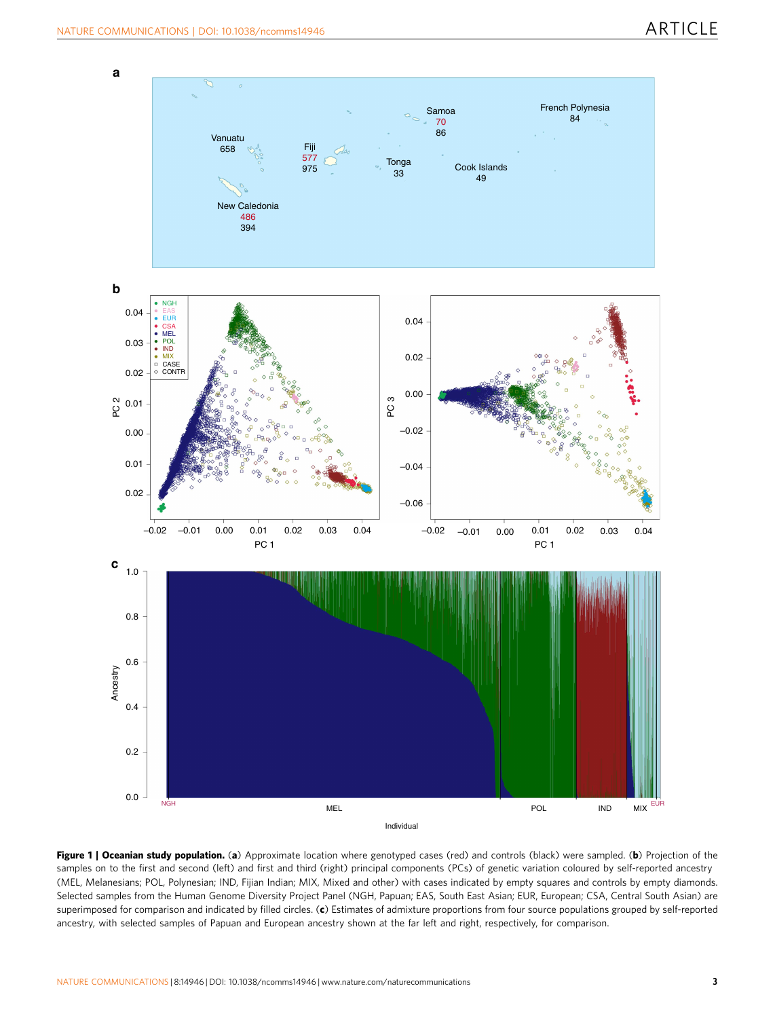<span id="page-2-0"></span>

Figure 1 | Oceanian study population. (a) Approximate location where genotyped cases (red) and controls (black) were sampled. (b) Projection of the samples on to the first and second (left) and first and third (right) principal components (PCs) of genetic variation coloured by self-reported ancestry (MEL, Melanesians; POL, Polynesian; IND, Fijian Indian; MIX, Mixed and other) with cases indicated by empty squares and controls by empty diamonds. Selected samples from the Human Genome Diversity Project Panel (NGH, Papuan; EAS, South East Asian; EUR, European; CSA, Central South Asian) are superimposed for comparison and indicated by filled circles. (c) Estimates of admixture proportions from four source populations grouped by self-reported ancestry, with selected samples of Papuan and European ancestry shown at the far left and right, respectively, for comparison.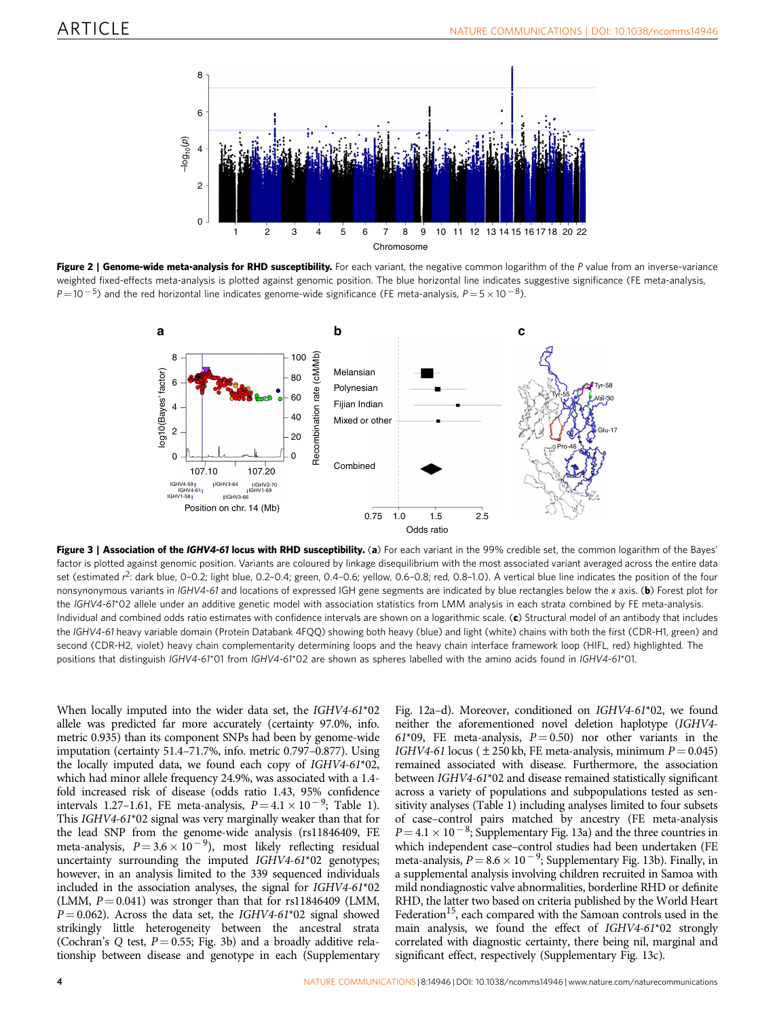<span id="page-3-0"></span>

Figure 2 | Genome-wide meta-analysis for RHD susceptibility. For each variant, the negative common logarithm of the P value from an inverse-variance weighted fixed-effects meta-analysis is plotted against genomic position. The blue horizontal line indicates suggestive significance (FE meta-analysis,  $P\!=\!10^{-5}$ ) and the red horizontal line indicates genome-wide significance (FE meta-analysis,  $P\!=\!5\!\times\!10^{-8}$ ).



Figure 3 | Association of the IGHV4-61 locus with RHD susceptibility. (a) For each variant in the 99% credible set, the common logarithm of the Bayes' factor is plotted against genomic position. Variants are coloured by linkage disequilibrium with the most associated variant averaged across the entire data set (estimated r<sup>2</sup>: dark blue, 0-0.2; light blue, 0.2-0.4; green, 0.4-0.6; yellow, 0.6-0.8; red, 0.8-1.0). A vertical blue line indicates the position of the four nonsynonymous variants in IGHV4-61 and locations of expressed IGH gene segments are indicated by blue rectangles below the x axis. (b) Forest plot for the IGHV4-61\*02 allele under an additive genetic model with association statistics from LMM analysis in each strata combined by FE meta-analysis. Individual and combined odds ratio estimates with confidence intervals are shown on a logarithmic scale. (c) Structural model of an antibody that includes the IGHV4-61 heavy variable domain (Protein Databank 4FQQ) showing both heavy (blue) and light (white) chains with both the first (CDR-H1, green) and second (CDR-H2, violet) heavy chain complementarity determining loops and the heavy chain interface framework loop (HIFL, red) highlighted. The positions that distinguish IGHV4-61\*01 from IGHV4-61\*02 are shown as spheres labelled with the amino acids found in IGHV4-61\*01.

When locally imputed into the wider data set, the IGHV4-61\*02 allele was predicted far more accurately (certainty 97.0%, info. metric 0.935) than its component SNPs had been by genome-wide imputation (certainty 51.4–71.7%, info. metric 0.797–0.877). Using the locally imputed data, we found each copy of IGHV4-61\*02, which had minor allele frequency 24.9%, was associated with a 1.4 fold increased risk of disease (odds ratio 1.43, 95% confidence intervals 1.27–1.61, FE meta-analysis,  $P = 4.1 \times 10^{-9}$ ; [Table 1](#page-4-0)). This IGHV4-61\*02 signal was very marginally weaker than that for the lead SNP from the genome-wide analysis (rs11846409, FE meta-analysis,  $P = 3.6 \times 10^{-9}$ ), most likely reflecting residual uncertainty surrounding the imputed IGHV4-61\*02 genotypes; however, in an analysis limited to the 339 sequenced individuals included in the association analyses, the signal for IGHV4-61\*02 (LMM,  $P = 0.041$ ) was stronger than that for rs11846409 (LMM,  $P = 0.062$ ). Across the data set, the IGHV4-61\*02 signal showed strikingly little heterogeneity between the ancestral strata (Cochran's Q test,  $P = 0.55$ ; Fig. 3b) and a broadly additive relationship between disease and genotype in each (Supplementary

Fig. 12a–d). Moreover, conditioned on IGHV4-61\*02, we found neither the aforementioned novel deletion haplotype (IGHV4- 61\*09, FE meta-analysis,  $P = 0.50$  nor other variants in the IGHV4-61 locus ( $\pm$  250 kb, FE meta-analysis, minimum  $P = 0.045$ ) remained associated with disease. Furthermore, the association between IGHV4-61\*02 and disease remained statistically significant across a variety of populations and subpopulations tested as sensitivity analyses [\(Table 1\)](#page-4-0) including analyses limited to four subsets of case–control pairs matched by ancestry (FE meta-analysis  $P = 4.1 \times 10^{-8}$ ; Supplementary Fig. 13a) and the three countries in which independent case–control studies had been undertaken (FE meta-analysis,  $P = 8.6 \times 10^{-9}$ ; Supplementary Fig. 13b). Finally, in a supplemental analysis involving children recruited in Samoa with mild nondiagnostic valve abnormalities, borderline RHD or definite RHD, the latter two based on criteria published by the World Heart Federation<sup>15</sup>, each compared with the Samoan controls used in the main analysis, we found the effect of IGHV4-61\*02 strongly correlated with diagnostic certainty, there being nil, marginal and significant effect, respectively (Supplementary Fig. 13c).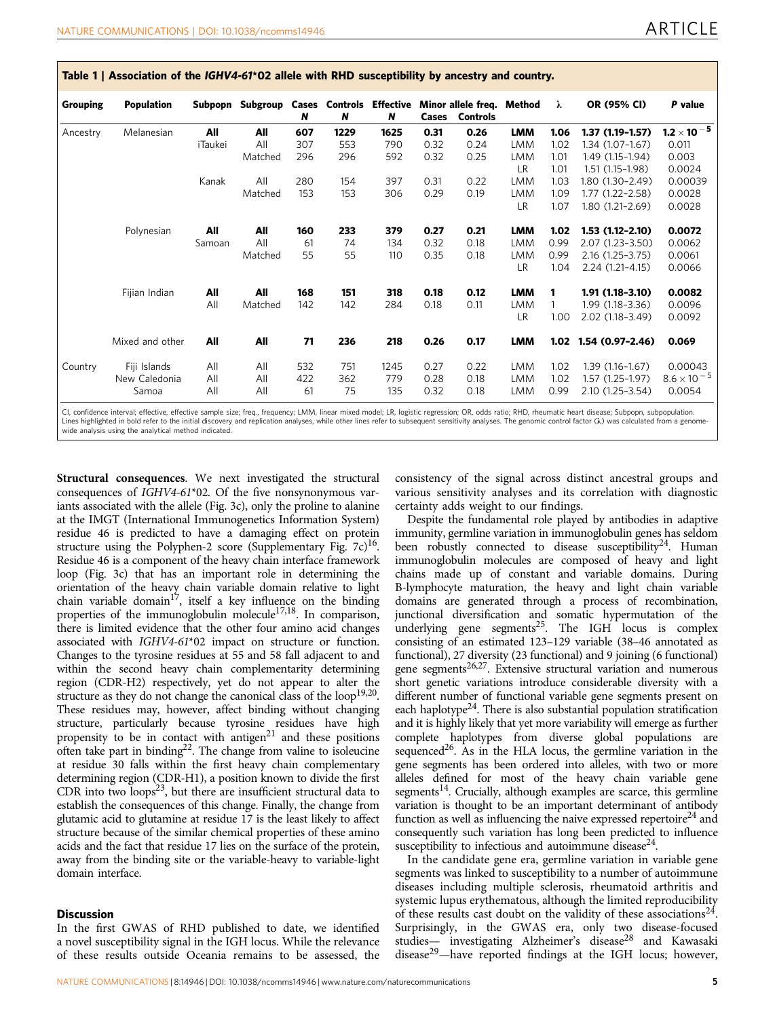| <b>Grouping</b> | <b>Population</b> | Subpopn | Subgroup | N   | Cases Controls<br>N | Effective<br>N | Cases | Minor allele freq.<br><b>Controls</b> | Method     | λ    | OR (95% CI)         | P value                                          |
|-----------------|-------------------|---------|----------|-----|---------------------|----------------|-------|---------------------------------------|------------|------|---------------------|--------------------------------------------------|
| Ancestry        | Melanesian        | All     | All      | 607 | 1229                | 1625           | 0.31  | 0.26                                  | <b>LMM</b> | 1.06 | $1.37(1.19-1.57)$   | $\textbf{1.2}\times \textbf{10}^{-\,\textbf{5}}$ |
|                 |                   | iTaukei | All      | 307 | 553                 | 790            | 0.32  | 0.24                                  | <b>LMM</b> | 1.02 | 1.34 (1.07-1.67)    | 0.011                                            |
|                 |                   |         | Matched  | 296 | 296                 | 592            | 0.32  | 0.25                                  | <b>LMM</b> | 1.01 | 1.49 (1.15-1.94)    | 0.003                                            |
|                 |                   |         |          |     |                     |                |       |                                       | <b>LR</b>  | 1.01 | 1.51 (1.15-1.98)    | 0.0024                                           |
|                 |                   | Kanak   | All      | 280 | 154                 | 397            | 0.31  | 0.22                                  | <b>LMM</b> | 1.03 | 1.80 (1.30-2.49)    | 0.00039                                          |
|                 |                   |         | Matched  | 153 | 153                 | 306            | 0.29  | 0.19                                  | <b>LMM</b> | 1.09 | 1.77 (1.22-2.58)    | 0.0028                                           |
|                 |                   |         |          |     |                     |                |       |                                       | <b>LR</b>  | 1.07 | 1.80 (1.21-2.69)    | 0.0028                                           |
|                 | Polynesian        | All     | All      | 160 | 233                 | 379            | 0.27  | 0.21                                  | <b>LMM</b> | 1.02 | $1.53(1.12 - 2.10)$ | 0.0072                                           |
|                 |                   | Samoan  | All      | 61  | 74                  | 134            | 0.32  | 0.18                                  | LMM        | 0.99 | 2.07 (1.23-3.50)    | 0.0062                                           |
|                 |                   |         | Matched  | 55  | 55                  | 110            | 0.35  | 0.18                                  | LMM        | 0.99 | 2.16 (1.25-3.75)    | 0.0061                                           |
|                 |                   |         |          |     |                     |                |       |                                       | <b>LR</b>  | 1.04 | 2.24 (1.21-4.15)    | 0.0066                                           |
|                 | Fijian Indian     | All     | All      | 168 | 151                 | 318            | 0.18  | 0.12                                  | <b>LMM</b> | 1    | 1.91 (1.18-3.10)    | 0.0082                                           |
|                 |                   | All     | Matched  | 142 | 142                 | 284            | 0.18  | 0.11                                  | <b>LMM</b> |      | 1.99 (1.18-3.36)    | 0.0096                                           |
|                 |                   |         |          |     |                     |                |       |                                       | <b>LR</b>  | 1.00 | 2.02 (1.18-3.49)    | 0.0092                                           |
|                 | Mixed and other   | All     | All      | 71  | 236                 | 218            | 0.26  | 0.17                                  | <b>LMM</b> | 1.02 | 1.54 (0.97-2.46)    | 0.069                                            |
| Country         | Fiji Islands      | All     | All      | 532 | 751                 | 1245           | 0.27  | 0.22                                  | <b>LMM</b> | 1.02 | $1.39(1.16-1.67)$   | 0.00043                                          |
|                 | New Caledonia     | All     | All      | 422 | 362                 | 779            | 0.28  | 0.18                                  | <b>LMM</b> | 1.02 | 1.57 (1.25-1.97)    | $8.6 \times 10^{-5}$                             |
|                 | Samoa             | All     | All      | 61  | 75                  | 135            | 0.32  | 0.18                                  | LMM        | 0.99 | 2.10 (1.25-3.54)    | 0.0054                                           |

<span id="page-4-0"></span>Table 1 | Association of the IGHV4-61\*02 allele with RHD susceptibility by ancestry and country.

CI, confidence interval; effective, effective sample size; freq., frequency; LMM, linear mixed model; LR, logistic regression; OR, odds ratio; RHD, rheumatic heart disease; Subpopn, subpopulation. Lines highlighted in bold refer to the initial discovery and replication analyses, while other lines refer to subsequent sensitivity analyses. The genomic control factor (A) was calculated from a genomewide analysis using the analytical method indicated.

Structural consequences. We next investigated the structural consequences of IGHV4-61\*02. Of the five nonsynonymous variants associated with the allele [\(Fig. 3c](#page-3-0)), only the proline to alanine at the IMGT (International Immunogenetics Information System) residue 46 is predicted to have a damaging effect on protein structure using the Polyphen-2 score (Supplementary Fig.  $7c$ )<sup>16</sup>. Residue 46 is a component of the heavy chain interface framework loop [\(Fig. 3c](#page-3-0)) that has an important role in determining the orientation of the heavy chain variable domain relative to light chain variable domain<sup>17</sup>, itself a key influence on the binding properties of the immunoglobulin molecule<sup>[17,18](#page-7-0)</sup>. In comparison, there is limited evidence that the other four amino acid changes associated with IGHV4-61\*02 impact on structure or function. Changes to the tyrosine residues at 55 and 58 fall adjacent to and within the second heavy chain complementarity determining region (CDR-H2) respectively, yet do not appear to alter the structure as they do not change the canonical class of the loop<sup>19,20</sup>. These residues may, however, affect binding without changing structure, particularly because tyrosine residues have high propensity to be in contact with antigen<sup>[21](#page-7-0)</sup> and these positions often take part in binding<sup>22</sup>. The change from valine to isoleucine at residue 30 falls within the first heavy chain complementary determining region (CDR-H1), a position known to divide the first CDR into two loops<sup>23</sup>, but there are insufficient structural data to establish the consequences of this change. Finally, the change from glutamic acid to glutamine at residue 17 is the least likely to affect structure because of the similar chemical properties of these amino acids and the fact that residue 17 lies on the surface of the protein, away from the binding site or the variable-heavy to variable-light domain interface.

### Discussion

In the first GWAS of RHD published to date, we identified a novel susceptibility signal in the IGH locus. While the relevance of these results outside Oceania remains to be assessed, the consistency of the signal across distinct ancestral groups and various sensitivity analyses and its correlation with diagnostic certainty adds weight to our findings.

Despite the fundamental role played by antibodies in adaptive immunity, germline variation in immunoglobulin genes has seldom been robustly connected to disease susceptibility<sup>24</sup>. Human immunoglobulin molecules are composed of heavy and light chains made up of constant and variable domains. During B-lymphocyte maturation, the heavy and light chain variable domains are generated through a process of recombination, junctional diversification and somatic hypermutation of the underlying gene segments<sup>25</sup>. The IGH locus is complex consisting of an estimated 123–129 variable (38–46 annotated as functional), 27 diversity (23 functional) and 9 joining (6 functional) gene segments<sup>[26,27](#page-7-0)</sup>. Extensive structural variation and numerous short genetic variations introduce considerable diversity with a different number of functional variable gene segments present on each haplotype<sup>24</sup>. There is also substantial population stratification and it is highly likely that yet more variability will emerge as further complete haplotypes from diverse global populations are sequenced<sup>26</sup>. As in the HLA locus, the germline variation in the gene segments has been ordered into alleles, with two or more alleles defined for most of the heavy chain variable gene segments<sup>14</sup>. Crucially, although examples are scarce, this germline variation is thought to be an important determinant of antibody function as well as influencing the naive expressed repertoire<sup>24</sup> and consequently such variation has long been predicted to influence susceptibility to infectious and autoimmune disease<sup>24</sup>.

In the candidate gene era, germline variation in variable gene segments was linked to susceptibility to a number of autoimmune diseases including multiple sclerosis, rheumatoid arthritis and systemic lupus erythematous, although the limited reproducibility of these results cast doubt on the validity of these associations<sup>24</sup>. Surprisingly, in the GWAS era, only two disease-focused studies— investigating Alzheimer's disease<sup>[28](#page-7-0)</sup> and Kawasaki disease[29](#page-7-0)—have reported findings at the IGH locus; however,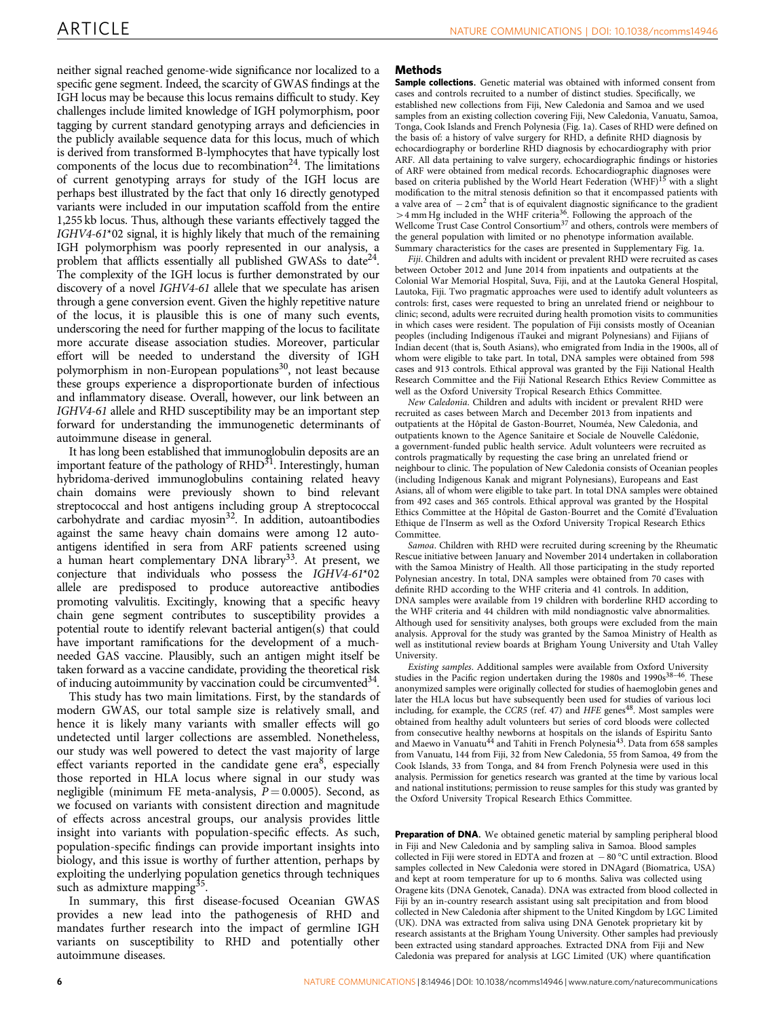neither signal reached genome-wide significance nor localized to a specific gene segment. Indeed, the scarcity of GWAS findings at the IGH locus may be because this locus remains difficult to study. Key challenges include limited knowledge of IGH polymorphism, poor tagging by current standard genotyping arrays and deficiencies in the publicly available sequence data for this locus, much of which is derived from transformed B-lymphocytes that have typically lost components of the locus due to recombination<sup>24</sup>. The limitations of current genotyping arrays for study of the IGH locus are perhaps best illustrated by the fact that only 16 directly genotyped variants were included in our imputation scaffold from the entire 1,255 kb locus. Thus, although these variants effectively tagged the IGHV4-61\*02 signal, it is highly likely that much of the remaining IGH polymorphism was poorly represented in our analysis, a problem that afflicts essentially all published GWASs to date<sup>24</sup>. The complexity of the IGH locus is further demonstrated by our discovery of a novel IGHV4-61 allele that we speculate has arisen through a gene conversion event. Given the highly repetitive nature of the locus, it is plausible this is one of many such events, underscoring the need for further mapping of the locus to facilitate more accurate disease association studies. Moreover, particular effort will be needed to understand the diversity of IGH polymorphism in non-European populations<sup>30</sup>, not least because these groups experience a disproportionate burden of infectious and inflammatory disease. Overall, however, our link between an IGHV4-61 allele and RHD susceptibility may be an important step forward for understanding the immunogenetic determinants of autoimmune disease in general.

It has long been established that immunoglobulin deposits are an important feature of the pathology of  $RHD^{31}$ . Interestingly, human hybridoma-derived immunoglobulins containing related heavy chain domains were previously shown to bind relevant streptococcal and host antigens including group A streptococcal carbohydrate and cardiac myosin<sup>32</sup>. In addition, autoantibodies against the same heavy chain domains were among 12 autoantigens identified in sera from ARF patients screened using a human heart complementary DNA library<sup>33</sup>. At present, we conjecture that individuals who possess the IGHV4-61\*02 allele are predisposed to produce autoreactive antibodies promoting valvulitis. Excitingly, knowing that a specific heavy chain gene segment contributes to susceptibility provides a potential route to identify relevant bacterial antigen(s) that could have important ramifications for the development of a muchneeded GAS vaccine. Plausibly, such an antigen might itself be taken forward as a vaccine candidate, providing the theoretical risk of inducing autoimmunity by vaccination could be circumvented $34$ .

This study has two main limitations. First, by the standards of modern GWAS, our total sample size is relatively small, and hence it is likely many variants with smaller effects will go undetected until larger collections are assembled. Nonetheless, our study was well powered to detect the vast majority of large effect variants reported in the candidate gene  $era<sup>8</sup>$ , especially those reported in HLA locus where signal in our study was negligible (minimum FE meta-analysis,  $P = 0.0005$ ). Second, as we focused on variants with consistent direction and magnitude of effects across ancestral groups, our analysis provides little insight into variants with population-specific effects. As such, population-specific findings can provide important insights into biology, and this issue is worthy of further attention, perhaps by exploiting the underlying population genetics through techniques such as admixture mapping<sup>35</sup>.

In summary, this first disease-focused Oceanian GWAS provides a new lead into the pathogenesis of RHD and mandates further research into the impact of germline IGH variants on susceptibility to RHD and potentially other autoimmune diseases.

### Methods

Sample collections. Genetic material was obtained with informed consent from cases and controls recruited to a number of distinct studies. Specifically, we established new collections from Fiji, New Caledonia and Samoa and we used samples from an existing collection covering Fiji, New Caledonia, Vanuatu, Samoa, Tonga, Cook Islands and French Polynesia [\(Fig. 1a\)](#page-2-0). Cases of RHD were defined on the basis of: a history of valve surgery for RHD, a definite RHD diagnosis by echocardiography or borderline RHD diagnosis by echocardiography with prior ARF. All data pertaining to valve surgery, echocardiographic findings or histories of ARF were obtained from medical records. Echocardiographic diagnoses were<br>based on criteria published by the World Heart Federation (WHF)<sup>[15](#page-7-0)</sup> with a slight modification to the mitral stenosis definition so that it encompassed patients with a valve area of  $-2 \text{ cm}^2$  that is of equivalent diagnostic significance to the gradient  $>$  4 mm Hg included in the WHF criteria<sup>36</sup>. Following the approach of the Wellcome Trust Case Control Consortium<sup>[37](#page-8-0)</sup> and others, controls were members of the general population with limited or no phenotype information available. Summary characteristics for the cases are presented in Supplementary Fig. 1a.

Fiji. Children and adults with incident or prevalent RHD were recruited as cases between October 2012 and June 2014 from inpatients and outpatients at the Colonial War Memorial Hospital, Suva, Fiji, and at the Lautoka General Hospital, Lautoka, Fiji. Two pragmatic approaches were used to identify adult volunteers as controls: first, cases were requested to bring an unrelated friend or neighbour to clinic; second, adults were recruited during health promotion visits to communities in which cases were resident. The population of Fiji consists mostly of Oceanian peoples (including Indigenous iTaukei and migrant Polynesians) and Fijians of Indian decent (that is, South Asians), who emigrated from India in the 1900s, all of whom were eligible to take part. In total, DNA samples were obtained from 598 cases and 913 controls. Ethical approval was granted by the Fiji National Health Research Committee and the Fiji National Research Ethics Review Committee as well as the Oxford University Tropical Research Ethics Committee.

New Caledonia. Children and adults with incident or prevalent RHD were recruited as cases between March and December 2013 from inpatients and outpatients at the Hôpital de Gaston-Bourret, Nouméa, New Caledonia, and outpatients known to the Agence Sanitaire et Sociale de Nouvelle Calédonie, a government-funded public health service. Adult volunteers were recruited as controls pragmatically by requesting the case bring an unrelated friend or neighbour to clinic. The population of New Caledonia consists of Oceanian peoples (including Indigenous Kanak and migrant Polynesians), Europeans and East Asians, all of whom were eligible to take part. In total DNA samples were obtained from 492 cases and 365 controls. Ethical approval was granted by the Hospital Ethics Committee at the Hôpital de Gaston-Bourret and the Comité d'Evaluation Ethique de l'Inserm as well as the Oxford University Tropical Research Ethics Committee.

Samoa. Children with RHD were recruited during screening by the Rheumatic Rescue initiative between January and November 2014 undertaken in collaboration with the Samoa Ministry of Health. All those participating in the study reported Polynesian ancestry. In total, DNA samples were obtained from 70 cases with definite RHD according to the WHF criteria and 41 controls. In addition, DNA samples were available from 19 children with borderline RHD according to the WHF criteria and 44 children with mild nondiagnostic valve abnormalities. Although used for sensitivity analyses, both groups were excluded from the main analysis. Approval for the study was granted by the Samoa Ministry of Health as well as institutional review boards at Brigham Young University and Utah Valley **University** 

Existing samples. Additional samples were available from Oxford University studies in the Pacific region undertaken during the 1980s and 1990s<sup>38-46</sup>. These anonymized samples were originally collected for studies of haemoglobin genes and later the HLA locus but have subsequently been used for studies of various loci including, for example, the CCR5 (ref.  $47)$  and HFE genes<sup> $48$ </sup>. Most samples were obtained from healthy adult volunteers but series of cord bloods were collected from consecutive healthy newborns at hospitals on the islands of Espiritu Santo and Maewo in Vanuatu<sup>[44](#page-8-0)</sup> and Tahiti in French Polynesia<sup>[43](#page-8-0)</sup>. Data from 658 samples from Vanuatu, 144 from Fiji, 32 from New Caledonia, 55 from Samoa, 49 from the Cook Islands, 33 from Tonga, and 84 from French Polynesia were used in this analysis. Permission for genetics research was granted at the time by various local and national institutions; permission to reuse samples for this study was granted by the Oxford University Tropical Research Ethics Committee.

Preparation of DNA. We obtained genetic material by sampling peripheral blood in Fiji and New Caledonia and by sampling saliva in Samoa. Blood samples collected in Fiji were stored in EDTA and frozen at  $-80^{\circ}$ C until extraction. Blood samples collected in New Caledonia were stored in DNAgard (Biomatrica, USA) and kept at room temperature for up to 6 months. Saliva was collected using Oragene kits (DNA Genotek, Canada). DNA was extracted from blood collected in Fiji by an in-country research assistant using salt precipitation and from blood collected in New Caledonia after shipment to the United Kingdom by LGC Limited (UK). DNA was extracted from saliva using DNA Genotek proprietary kit by research assistants at the Brigham Young University. Other samples had previously been extracted using standard approaches. Extracted DNA from Fiji and New Caledonia was prepared for analysis at LGC Limited (UK) where quantification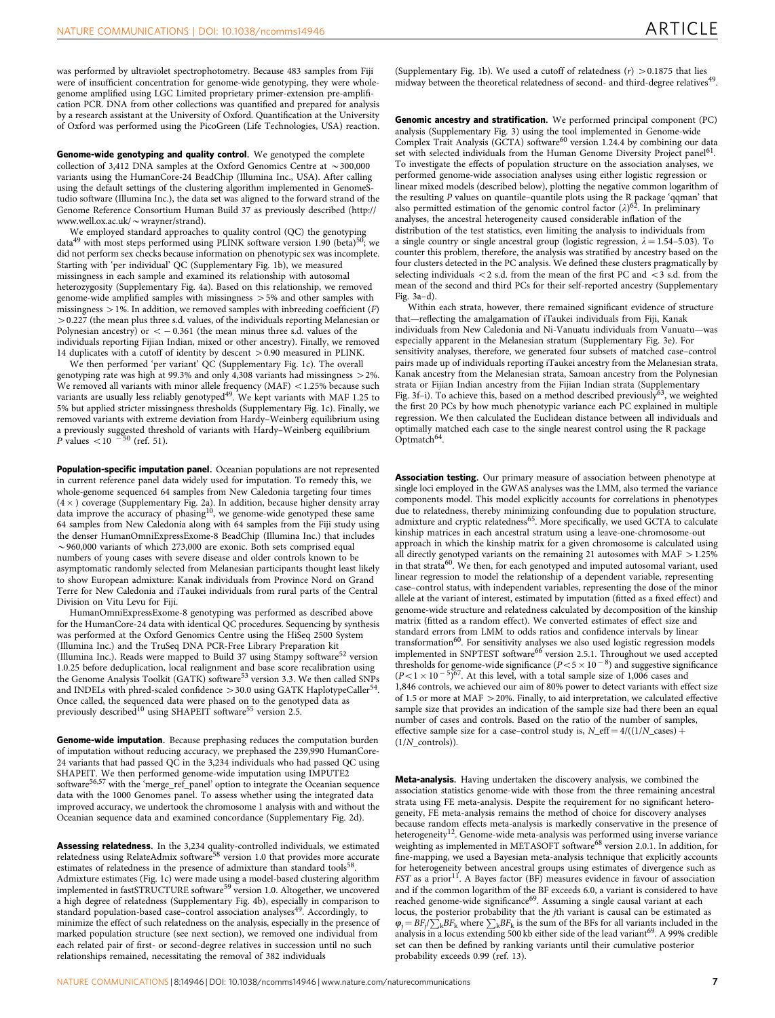was performed by ultraviolet spectrophotometry. Because 483 samples from Fiji were of insufficient concentration for genome-wide genotyping, they were wholegenome amplified using LGC Limited proprietary primer-extension pre-amplification PCR. DNA from other collections was quantified and prepared for analysis by a research assistant at the University of Oxford. Quantification at the University of Oxford was performed using the PicoGreen (Life Technologies, USA) reaction.

Genome-wide genotyping and quality control. We genotyped the complete collection of 3,412 DNA samples at the Oxford Genomics Centre at  $\sim$  300,000 variants using the HumanCore-24 BeadChip (Illumina Inc., USA). After calling using the default settings of the clustering algorithm implemented in GenomeStudio software (Illumina Inc.), the data set was aligned to the forward strand of the Genome Reference Consortium Human Build 37 as previously described [\(http://](http://www.well.ox.ac.uk/~wrayner/strand) [www.well.ox.ac.uk/](http://www.well.ox.ac.uk/~wrayner/strand) $\sim$ wrayner/strand).

We employed standard approaches to quality control (QC) the genotyping data<sup>[49](#page-8-0)</sup> with most steps performed using PLINK software version 1.90 (beta)<sup>[50](#page-8-0)</sup>; we did not perform sex checks because information on phenotypic sex was incomplete. Starting with 'per individual' QC (Supplementary Fig. 1b), we measured missingness in each sample and examined its relationship with autosomal heterozygosity (Supplementary Fig. 4a). Based on this relationship, we removed genome-wide amplified samples with missingness  $> 5%$  and other samples with missingness  $> 1\%$ . In addition, we removed samples with inbreeding coefficient (F) 40.227 (the mean plus three s.d. values, of the individuals reporting Melanesian or Polynesian ancestry) or  $<-0.361$  (the mean minus three s.d. values of the individuals reporting Fijian Indian, mixed or other ancestry). Finally, we removed 14 duplicates with a cutoff of identity by descent  $> 0.90$  measured in PLINK.

We then performed 'per variant' QC (Supplementary Fig. 1c). The overall genotyping rate was high at 99.3% and only 4,308 variants had missingness 42%. We removed all variants with minor allele frequency (MAF)  $<$  1.25% because such variants are usually less reliably genotyped<sup>49</sup>. We kept variants with MAF 1.25 to 5% but applied stricter missingness thresholds (Supplementary Fig. 1c). Finally, we removed variants with extreme deviation from Hardy–Weinberg equilibrium using a previously suggested threshold of variants with Hardy–Weinberg equilibrium  $P$  values  $\lt 10^{-50}$  [\(ref. 51\)](#page-8-0).

Population-specific imputation panel. Oceanian populations are not represented in current reference panel data widely used for imputation. To remedy this, we whole-genome sequenced 64 samples from New Caledonia targeting four times (4 × ) coverage (Supplementary Fig. 2a). In addition, because higher density array<br>data improve the accuracy of phasing<sup>10</sup>, we genome-wide genotyped these same 64 samples from New Caledonia along with 64 samples from the Fiji study using the denser HumanOmniExpressExome-8 BeadChip (Illumina Inc.) that includes  $\sim$ 960,000 variants of which 273,000 are exonic. Both sets comprised equal numbers of young cases with severe disease and older controls known to be asymptomatic randomly selected from Melanesian participants thought least likely to show European admixture: Kanak individuals from Province Nord on Grand Terre for New Caledonia and iTaukei individuals from rural parts of the Central Division on Vitu Levu for Fiji.

HumanOmniExpressExome-8 genotyping was performed as described above for the HumanCore-24 data with identical QC procedures. Sequencing by synthesis was performed at the Oxford Genomics Centre using the HiSeq 2500 System (Illumina Inc.) and the TruSeq DNA PCR-Free Library Preparation kit (Illumina Inc.). Reads were mapped to Build 37 using Stampy software[52](#page-8-0) version 1.0.25 before deduplication, local realignment and base score recalibration using the Genome Analysis Toolkit (GATK) software<sup>[53](#page-8-0)</sup> version 3.3. We then called SNPs and INDELs with phred-scaled confidence > 30.0 using GATK HaplotypeCaller<sup>[54](#page-8-0)</sup>. Once called, the sequenced data were phased on to the genotyped data as previously described<sup>[10](#page-7-0)</sup> using SHAPEIT software<sup>[55](#page-8-0)</sup> version 2.5.

Genome-wide imputation. Because prephasing reduces the computation burden of imputation without reducing accuracy, we prephased the 239,990 HumanCore-24 variants that had passed QC in the 3,234 individuals who had passed QC using SHAPEIT. We then performed genome-wide imputation using IMPUTE2 software<sup>[56,57](#page-8-0)</sup> with the 'merge\_ref\_panel' option to integrate the Oceanian sequence data with the 1000 Genomes panel. To assess whether using the integrated data improved accuracy, we undertook the chromosome 1 analysis with and without the Oceanian sequence data and examined concordance (Supplementary Fig. 2d).

Assessing relatedness. In the 3,234 quality-controlled individuals, we estimated relatedness using RelateAdmix software<sup>[58](#page-8-0)</sup> version 1.0 that provides more accurate estimates of relatedness in the presence of admixture than standard tools<sup>[58](#page-8-0)</sup> Admixture estimates ([Fig. 1c\)](#page-2-0) were made using a model-based clustering algorithm implemented in fastSTRUCTURE software<sup>[59](#page-8-0)</sup> version 1.0. Altogether, we uncovered a high degree of relatedness (Supplementary Fig. 4b), especially in comparison to standard population-based case-control association analyses<sup>[49](#page-8-0)</sup>. Accordingly, to minimize the effect of such relatedness on the analysis, especially in the presence of marked population structure (see next section), we removed one individual from each related pair of first- or second-degree relatives in succession until no such relationships remained, necessitating the removal of 382 individuals

(Supplementary Fig. 1b). We used a cutoff of relatedness  $(r) > 0.1875$  that lies midway between the theoretical relatedness of second- and third-degree relatives<sup>[49](#page-8-0)</sup>.

Genomic ancestry and stratification. We performed principal component (PC) analysis (Supplementary Fig. 3) using the tool implemented in Genome-wide<br>Complex Trait Analysis (GCTA) software<sup>[60](#page-8-0)</sup> version 1.24.4 by combining our data set with selected individuals from the Human Genome Diversity Project panel<sup>[61](#page-8-0)</sup>. To investigate the effects of population structure on the association analyses, we performed genome-wide association analyses using either logistic regression or linear mixed models (described below), plotting the negative common logarithm of the resulting P values on quantile–quantile plots using the R package 'qqman' that also permitted estimation of the genomic control factor  $(\lambda)^{62}$ . In preliminary analyses, the ancestral heterogeneity caused considerable inflation of the distribution of the test statistics, even limiting the analysis to individuals from a single country or single ancestral group (logistic regression,  $\lambda = 1.54$ –5.03). To counter this problem, therefore, the analysis was stratified by ancestry based on the four clusters detected in the PC analysis. We defined these clusters pragmatically by selecting individuals  $<$  2 s.d. from the mean of the first PC and  $<$  3 s.d. from the mean of the second and third PCs for their self-reported ancestry (Supplementary Fig. 3a–d).

Within each strata, however, there remained significant evidence of structure that—reflecting the amalgamation of iTaukei individuals from Fiji, Kanak individuals from New Caledonia and Ni-Vanuatu individuals from Vanuatuespecially apparent in the Melanesian stratum (Supplementary Fig. 3e). For sensitivity analyses, therefore, we generated four subsets of matched case–control pairs made up of individuals reporting iTaukei ancestry from the Melanesian strata, Kanak ancestry from the Melanesian strata, Samoan ancestry from the Polynesian strata or Fijian Indian ancestry from the Fijian Indian strata (Supplementary Fig. 3f-i). To achieve this, based on a method described previously<sup>63</sup>, we weighted the first 20 PCs by how much phenotypic variance each PC explained in multiple regression. We then calculated the Euclidean distance between all individuals and optimally matched each case to the single nearest control using the R package Optmatch<sup>64</sup>.

Association testing. Our primary measure of association between phenotype at single loci employed in the GWAS analyses was the LMM, also termed the variance components model. This model explicitly accounts for correlations in phenotypes due to relatedness, thereby minimizing confounding due to population structure,<br>admixture and cryptic relatedness<sup>[65](#page-8-0)</sup>. More specifically, we used GCTA to calculate kinship matrices in each ancestral stratum using a leave-one-chromosome-out approach in which the kinship matrix for a given chromosome is calculated using all directly genotyped variants on the remaining 21 autosomes with  $MAF > 1.25%$ in that strata<sup>60</sup>. We then, for each genotyped and imputed autosomal variant, used linear regression to model the relationship of a dependent variable, representing case–control status, with independent variables, representing the dose of the minor allele at the variant of interest, estimated by imputation (fitted as a fixed effect) and genome-wide structure and relatedness calculated by decomposition of the kinship matrix (fitted as a random effect). We converted estimates of effect size and standard errors from LMM to odds ratios and confidence intervals by linear transformation<sup>[60](#page-8-0)</sup>. For sensitivity analyses we also used logistic regression models implemented in SNPTEST software<sup>[66](#page-8-0)</sup> version 2.5.1. Throughout we used accepted thresholds for genome-wide significance ( $P < 5 \times 10^{-8}$ ) and suggestive significance  $(P<1\times10^{-5})^{67}$  $(P<1\times10^{-5})^{67}$  $(P<1\times10^{-5})^{67}$ . At this level, with a total sample size of 1,006 cases and 1,846 controls, we achieved our aim of 80% power to detect variants with effect size of 1.5 or more at MAF  $>$  20%. Finally, to aid interpretation, we calculated effective sample size that provides an indication of the sample size had there been an equal number of cases and controls. Based on the ratio of the number of samples, effective sample size for a case–control study is,  $N_{\text{eff}} = 4/((1/N_{\text{cases}}) +$  $(1/N_$  controls)).

Meta-analysis. Having undertaken the discovery analysis, we combined the association statistics genome-wide with those from the three remaining ancestral strata using FE meta-analysis. Despite the requirement for no significant heterogeneity, FE meta-analysis remains the method of choice for discovery analyses because random effects meta-analysis is markedly conservative in the presence of heterogeneity<sup>12</sup>. Genome-wide meta-analysis was performed using inverse variance weighting as implemented in METASOFT software<sup>[68](#page-8-0)</sup> version 2.0.1. In addition, for fine-mapping, we used a Bayesian meta-analysis technique that explicitly accounts for heterogeneity between ancestral groups using estimates of divergence such as  $FST$  as a prior<sup>11</sup>. A Bayes factor (BF) measures evidence in favour of association and if the common logarithm of the BF exceeds 6.0, a variant is considered to have reached genome-wide significance<sup>[69](#page-8-0)</sup>. Assuming a single causal variant at each locus, the posterior probability that the jth variant is causal can be estimated as  $\varphi_j = BF_j/\sum_k BF_k$  where  $\sum_k BF_k$  is the sum of the BFs for all variants included in the analysis in a locus extending 500 kb either side of the lead variant<sup>[69](#page-8-0)</sup>. A 99% credible set can then be defined by ranking variants until their cumulative posterior probability exceeds 0.99 [\(ref. 13\)](#page-7-0).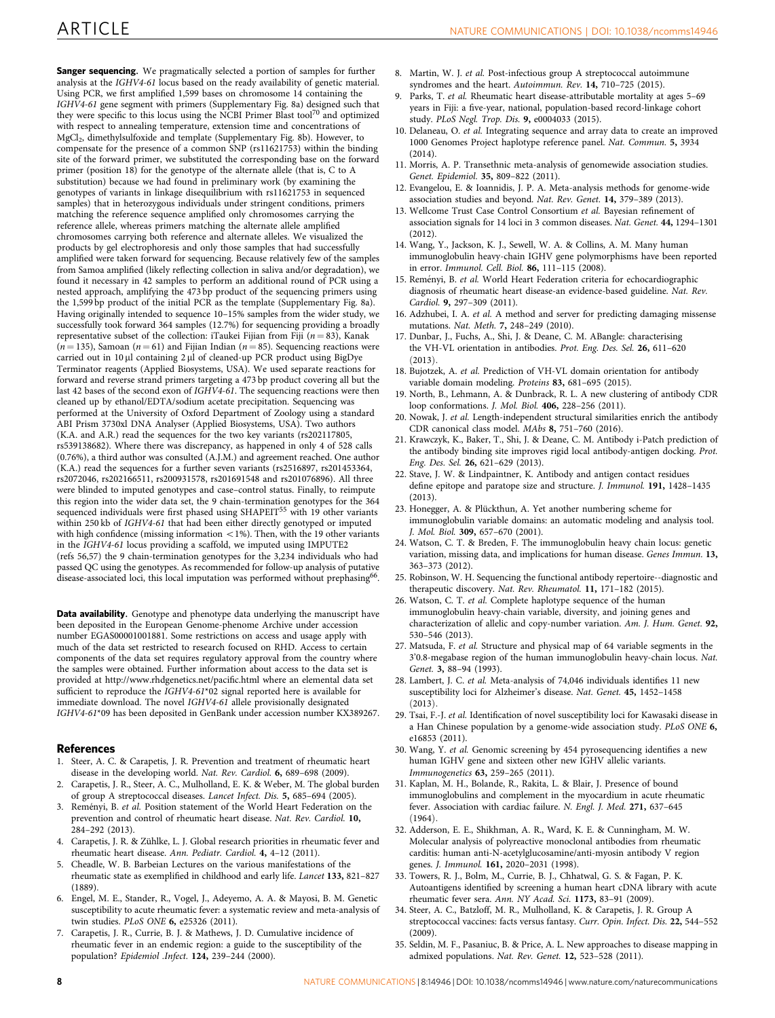<span id="page-7-0"></span>**Sanger sequencing.** We pragmatically selected a portion of samples for further analysis at the IGHV4-61 locus based on the ready availability of genetic material. Using PCR, we first amplified 1,599 bases on chromosome 14 containing the IGHV4-61 gene segment with primers (Supplementary Fig. 8a) designed such that they were specific to this locus using the NCBI Primer Blast tool<sup>[70](#page-8-0)</sup> and optimized with respect to annealing temperature, extension time and concentrations of MgCl2, dimethylsulfoxide and template (Supplementary Fig. 8b). However, to compensate for the presence of a common SNP (rs11621753) within the binding site of the forward primer, we substituted the corresponding base on the forward primer (position 18) for the genotype of the alternate allele (that is, C to A substitution) because we had found in preliminary work (by examining the genotypes of variants in linkage disequilibrium with rs11621753 in sequenced samples) that in heterozygous individuals under stringent conditions, primers matching the reference sequence amplified only chromosomes carrying the reference allele, whereas primers matching the alternate allele amplified chromosomes carrying both reference and alternate alleles. We visualized the products by gel electrophoresis and only those samples that had successfully amplified were taken forward for sequencing. Because relatively few of the samples from Samoa amplified (likely reflecting collection in saliva and/or degradation), we found it necessary in 42 samples to perform an additional round of PCR using a nested approach, amplifying the 473 bp product of the sequencing primers using the 1,599 bp product of the initial PCR as the template (Supplementary Fig. 8a). Having originally intended to sequence 10–15% samples from the wider study, we successfully took forward 364 samples (12.7%) for sequencing providing a broadly representative subset of the collection: iTaukei Fijian from Fiji ( $n = 83$ ), Kanak  $(n = 135)$ , Samoan  $(n = 61)$  and Fijian Indian  $(n = 85)$ . Sequencing reactions were carried out in  $10 \mu l$  containing  $2 \mu l$  of cleaned-up PCR product using BigDye Terminator reagents (Applied Biosystems, USA). We used separate reactions for forward and reverse strand primers targeting a 473 bp product covering all but the last 42 bases of the second exon of  $IGHV4-6I$ . The sequencing reactions were then cleaned up by ethanol/EDTA/sodium acetate precipitation. Sequencing was performed at the University of Oxford Department of Zoology using a standard ABI Prism 3730xl DNA Analyser (Applied Biosystems, USA). Two authors (K.A. and A.R.) read the sequences for the two key variants (rs202117805, rs539138682). Where there was discrepancy, as happened in only 4 of 528 calls (0.76%), a third author was consulted (A.J.M.) and agreement reached. One author (K.A.) read the sequences for a further seven variants (rs2516897, rs201453364, rs2072046, rs202166511, rs200931578, rs201691548 and rs201076896). All three were blinded to imputed genotypes and case–control status. Finally, to reimpute this region into the wider data set, the 9 chain-termination genotypes for the 364 sequenced individuals were first phased using SHAPEIT<sup>[55](#page-8-0)</sup> with 19 other variants within 250 kb of IGHV4-61 that had been either directly genotyped or imputed with high confidence (missing information  $<$  1%). Then, with the 19 other variants in the IGHV4-61 locus providing a scaffold, we imputed using IMPUTE2 [\(refs 56,57](#page-8-0)) the 9 chain-termination genotypes for the 3,234 individuals who had passed QC using the genotypes. As recommended for follow-up analysis of putative disease-associated loci, this local imputation was performed without prephasing<sup>[66](#page-8-0)</sup>.

Data availability. Genotype and phenotype data underlying the manuscript have been deposited in the European Genome-phenome Archive under accession number EGAS00001001881. Some restrictions on access and usage apply with much of the data set restricted to research focused on RHD. Access to certain components of the data set requires regulatory approval from the country where the samples were obtained. Further information about access to the data set is provided at<http://www.rhdgenetics.net/pacific.html> where an elemental data set sufficient to reproduce the IGHV4-61\*02 signal reported here is available for immediate download. The novel IGHV4-61 allele provisionally designated IGHV4-61\*09 has been deposited in GenBank under accession number KX389267.

### **References**

- 1. Steer, A. C. & Carapetis, J. R. Prevention and treatment of rheumatic heart disease in the developing world. Nat. Rev. Cardiol. 6, 689–698 (2009).
- 2. Carapetis, J. R., Steer, A. C., Mulholland, E. K. & Weber, M. The global burden of group A streptococcal diseases. Lancet Infect. Dis. 5, 685–694 (2005).
- 3. Reményi, B. et al. Position statement of the World Heart Federation on the prevention and control of rheumatic heart disease. Nat. Rev. Cardiol. 10, 284–292 (2013).
- 4. Carapetis, J. R. & Zühlke, L. J. Global research priorities in rheumatic fever and rheumatic heart disease. Ann. Pediatr. Cardiol. 4, 4–12 (2011).
- 5. Cheadle, W. B. Barbeian Lectures on the various manifestations of the rheumatic state as exemplified in childhood and early life. Lancet 133, 821–827 (1889).
- 6. Engel, M. E., Stander, R., Vogel, J., Adeyemo, A. A. & Mayosi, B. M. Genetic susceptibility to acute rheumatic fever: a systematic review and meta-analysis of twin studies. PLoS ONE 6, e25326 (2011).
- 7. Carapetis, J. R., Currie, B. J. & Mathews, J. D. Cumulative incidence of rheumatic fever in an endemic region: a guide to the susceptibility of the population? Epidemiol .Infect. 124, 239–244 (2000).
- 8. Martin, W. J. et al. Post-infectious group A streptococcal autoimmune syndromes and the heart. Autoimmun. Rev. 14, 710-725 (2015).
- 9. Parks, T. et al. Rheumatic heart disease-attributable mortality at ages 5–69 years in Fiji: a five-year, national, population-based record-linkage cohort study. PLoS Negl. Trop. Dis. 9, e0004033 (2015).
- 10. Delaneau, O. et al. Integrating sequence and array data to create an improved 1000 Genomes Project haplotype reference panel. Nat. Commun. 5, 3934  $(2014)$
- 11. Morris, A. P. Transethnic meta-analysis of genomewide association studies. Genet. Epidemiol. 35, 809–822 (2011).
- 12. Evangelou, E. & Ioannidis, J. P. A. Meta-analysis methods for genome-wide association studies and beyond. Nat. Rev. Genet. 14, 379–389 (2013).
- 13. Wellcome Trust Case Control Consortium et al. Bayesian refinement of association signals for 14 loci in 3 common diseases. Nat. Genet. 44, 1294–1301 (2012).
- 14. Wang, Y., Jackson, K. J., Sewell, W. A. & Collins, A. M. Many human immunoglobulin heavy-chain IGHV gene polymorphisms have been reported in error. Immunol. Cell. Biol. 86, 111–115 (2008).
- 15. Reményi, B. et al. World Heart Federation criteria for echocardiographic diagnosis of rheumatic heart disease-an evidence-based guideline. Nat. Rev. Cardiol. 9, 297–309 (2011).
- 16. Adzhubei, I. A. et al. A method and server for predicting damaging missense mutations. Nat. Meth. 7, 248–249 (2010).
- 17. Dunbar, J., Fuchs, A., Shi, J. & Deane, C. M. ABangle: characterising the VH-VL orientation in antibodies. Prot. Eng. Des. Sel. 26, 611–620  $(2013).$
- 18. Bujotzek, A. et al. Prediction of VH-VL domain orientation for antibody variable domain modeling. Proteins 83, 681–695 (2015).
- 19. North, B., Lehmann, A. & Dunbrack, R. L. A new clustering of antibody CDR loop conformations. J. Mol. Biol. 406, 228–256 (2011).
- 20. Nowak, J. et al. Length-independent structural similarities enrich the antibody CDR canonical class model. MAbs 8, 751–760 (2016).
- 21. Krawczyk, K., Baker, T., Shi, J. & Deane, C. M. Antibody i-Patch prediction of the antibody binding site improves rigid local antibody-antigen docking. Prot. Eng. Des. Sel. 26, 621–629 (2013).
- 22. Stave, J. W. & Lindpaintner, K. Antibody and antigen contact residues define epitope and paratope size and structure. J. Immunol. 191, 1428–1435 (2013).
- 23. Honegger, A. & Plückthun, A. Yet another numbering scheme for immunoglobulin variable domains: an automatic modeling and analysis tool. J. Mol. Biol. 309, 657–670 (2001).
- 24. Watson, C. T. & Breden, F. The immunoglobulin heavy chain locus: genetic variation, missing data, and implications for human disease. Genes Immun. 13, 363–373 (2012).
- 25. Robinson, W. H. Sequencing the functional antibody repertoire--diagnostic and therapeutic discovery. Nat. Rev. Rheumatol. 11, 171-182 (2015).
- 26. Watson, C. T. et al. Complete haplotype sequence of the human immunoglobulin heavy-chain variable, diversity, and joining genes and characterization of allelic and copy-number variation. Am. J. Hum. Genet. 92, 530–546 (2013).
- 27. Matsuda, F. et al. Structure and physical map of 64 variable segments in the 3'0.8-megabase region of the human immunoglobulin heavy-chain locus. Nat. Genet. 3, 88–94 (1993).
- 28. Lambert, J. C. et al. Meta-analysis of 74,046 individuals identifies 11 new susceptibility loci for Alzheimer's disease. Nat. Genet. 45, 1452–1458  $(2013)$
- 29. Tsai, F.-J. et al. Identification of novel susceptibility loci for Kawasaki disease in a Han Chinese population by a genome-wide association study. PLoS ONE 6, e16853 (2011).
- 30. Wang, Y. et al. Genomic screening by 454 pyrosequencing identifies a new human IGHV gene and sixteen other new IGHV allelic variants. Immunogenetics 63, 259–265 (2011).
- 31. Kaplan, M. H., Bolande, R., Rakita, L. & Blair, J. Presence of bound immunoglobulins and complement in the myocardium in acute rheumatic fever. Association with cardiac failure. N. Engl. J. Med. 271, 637–645  $(1964).$
- 32. Adderson, E. E., Shikhman, A. R., Ward, K. E. & Cunningham, M. W. Molecular analysis of polyreactive monoclonal antibodies from rheumatic carditis: human anti-N-acetylglucosamine/anti-myosin antibody V region genes. J. Immunol. 161, 2020–2031 (1998).
- 33. Towers, R. J., Bolm, M., Currie, B. J., Chhatwal, G. S. & Fagan, P. K. Autoantigens identified by screening a human heart cDNA library with acute rheumatic fever sera. Ann. NY Acad. Sci. 1173, 83–91 (2009).
- 34. Steer, A. C., Batzloff, M. R., Mulholland, K. & Carapetis, J. R. Group A streptococcal vaccines: facts versus fantasy. Curr. Opin. Infect. Dis. 22, 544–552 (2009).
- 35. Seldin, M. F., Pasaniuc, B. & Price, A. L. New approaches to disease mapping in admixed populations. Nat. Rev. Genet. 12, 523–528 (2011).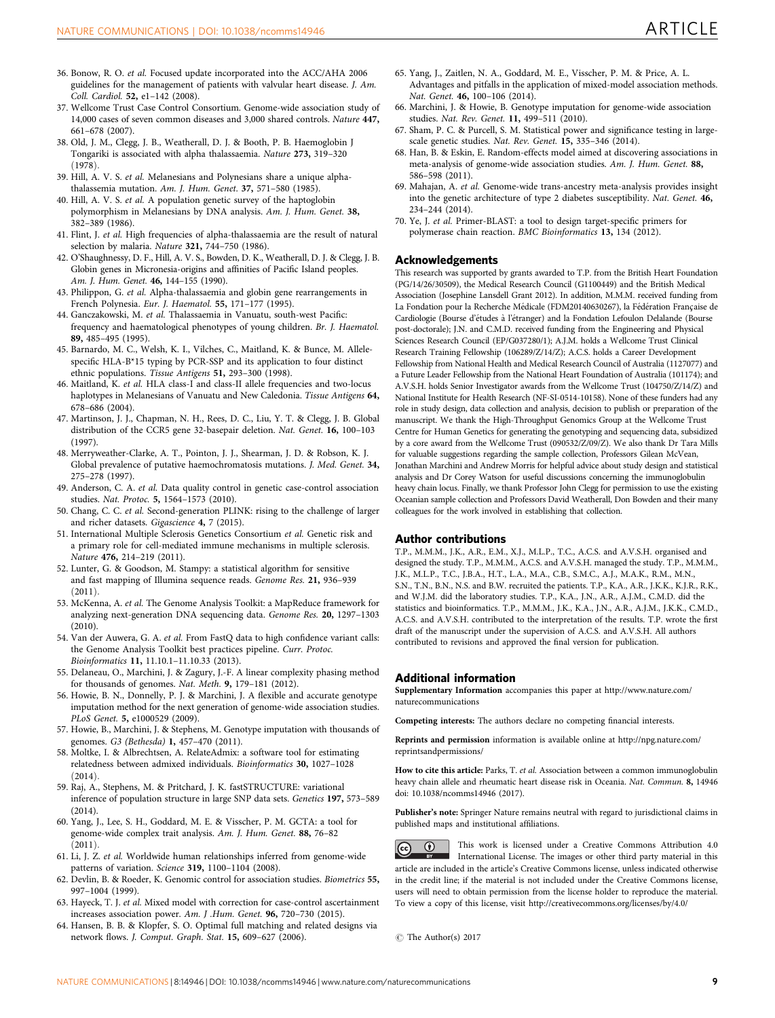- <span id="page-8-0"></span>36. Bonow, R. O. et al. Focused update incorporated into the ACC/AHA 2006 guidelines for the management of patients with valvular heart disease. J. Am. Coll. Cardiol. 52, e1–142 (2008).
- 37. Wellcome Trust Case Control Consortium. Genome-wide association study of 14,000 cases of seven common diseases and 3,000 shared controls. Nature 447, 661–678 (2007).
- 38. Old, J. M., Clegg, J. B., Weatherall, D. J. & Booth, P. B. Haemoglobin J Tongariki is associated with alpha thalassaemia. Nature 273, 319–320  $(1978)$
- 39. Hill, A. V. S. et al. Melanesians and Polynesians share a unique alphathalassemia mutation. Am. J. Hum. Genet. 37, 571–580 (1985).
- 40. Hill, A. V. S. et al. A population genetic survey of the haptoglobin polymorphism in Melanesians by DNA analysis. Am. J. Hum. Genet. 38, 382–389 (1986).
- 41. Flint, J. et al. High frequencies of alpha-thalassaemia are the result of natural selection by malaria. Nature 321, 744–750 (1986).
- 42. O'Shaughnessy, D. F., Hill, A. V. S., Bowden, D. K., Weatherall, D. J. & Clegg, J. B. Globin genes in Micronesia-origins and affinities of Pacific Island peoples. Am. J. Hum. Genet. 46, 144-155 (1990).
- 43. Philippon, G. et al. Alpha-thalassaemia and globin gene rearrangements in French Polynesia. Eur. J. Haematol. 55, 171–177 (1995).
- 44. Ganczakowski, M. et al. Thalassaemia in Vanuatu, south-west Pacific: frequency and haematological phenotypes of young children. Br. J. Haematol. 89, 485–495 (1995).
- 45. Barnardo, M. C., Welsh, K. I., Vilches, C., Maitland, K. & Bunce, M. Allelespecific HLA-B\*15 typing by PCR-SSP and its application to four distinct ethnic populations. Tissue Antigens 51, 293–300 (1998).
- 46. Maitland, K. et al. HLA class-I and class-II allele frequencies and two-locus haplotypes in Melanesians of Vanuatu and New Caledonia. Tissue Antigens 64, 678–686 (2004).
- 47. Martinson, J. J., Chapman, N. H., Rees, D. C., Liu, Y. T. & Clegg, J. B. Global distribution of the CCR5 gene 32-basepair deletion. Nat. Genet. 16, 100–103 (1997).
- 48. Merryweather-Clarke, A. T., Pointon, J. J., Shearman, J. D. & Robson, K. J. Global prevalence of putative haemochromatosis mutations. J. Med. Genet. 34, 275–278 (1997).
- 49. Anderson, C. A. et al. Data quality control in genetic case-control association studies. Nat. Protoc. 5, 1564–1573 (2010).
- 50. Chang, C. C. et al. Second-generation PLINK: rising to the challenge of larger and richer datasets. Gigascience 4, 7 (2015).
- 51. International Multiple Sclerosis Genetics Consortium et al. Genetic risk and a primary role for cell-mediated immune mechanisms in multiple sclerosis. Nature 476, 214–219 (2011).
- 52. Lunter, G. & Goodson, M. Stampy: a statistical algorithm for sensitive and fast mapping of Illumina sequence reads. Genome Res. 21, 936–939  $(2011)$
- 53. McKenna, A. et al. The Genome Analysis Toolkit: a MapReduce framework for analyzing next-generation DNA sequencing data. Genome Res. 20, 1297–1303 (2010).
- 54. Van der Auwera, G. A. et al. From FastQ data to high confidence variant calls: the Genome Analysis Toolkit best practices pipeline. Curr. Protoc. Bioinformatics 11, 11.10.1–11.10.33 (2013).
- 55. Delaneau, O., Marchini, J. & Zagury, J.-F. A linear complexity phasing method for thousands of genomes. Nat. Meth. 9, 179–181 (2012).
- 56. Howie, B. N., Donnelly, P. J. & Marchini, J. A flexible and accurate genotype imputation method for the next generation of genome-wide association studies. PLoS Genet. 5, e1000529 (2009).
- 57. Howie, B., Marchini, J. & Stephens, M. Genotype imputation with thousands of genomes. G3 (Bethesda) 1, 457–470 (2011).
- 58. Moltke, I. & Albrechtsen, A. RelateAdmix: a software tool for estimating relatedness between admixed individuals. Bioinformatics 30, 1027–1028  $(2014)$
- 59. Raj, A., Stephens, M. & Pritchard, J. K. fastSTRUCTURE: variational inference of population structure in large SNP data sets. Genetics 197, 573–589 (2014).
- 60. Yang, J., Lee, S. H., Goddard, M. E. & Visscher, P. M. GCTA: a tool for genome-wide complex trait analysis. Am. J. Hum. Genet. 88, 76–82  $(2011).$
- 61. Li, J. Z. et al. Worldwide human relationships inferred from genome-wide patterns of variation. Science 319, 1100–1104 (2008).
- 62. Devlin, B. & Roeder, K. Genomic control for association studies. Biometrics 55, 997–1004 (1999).
- 63. Hayeck, T. J. et al. Mixed model with correction for case-control ascertainment increases association power. Am. J .Hum. Genet. 96, 720–730 (2015).
- 64. Hansen, B. B. & Klopfer, S. O. Optimal full matching and related designs via network flows. J. Comput. Graph. Stat. 15, 609–627 (2006).
- 65. Yang, J., Zaitlen, N. A., Goddard, M. E., Visscher, P. M. & Price, A. L. Advantages and pitfalls in the application of mixed-model association methods. Nat. Genet. 46, 100–106 (2014).
- 66. Marchini, J. & Howie, B. Genotype imputation for genome-wide association studies. Nat. Rev. Genet. 11, 499–511 (2010).
- 67. Sham, P. C. & Purcell, S. M. Statistical power and significance testing in largescale genetic studies. Nat. Rev. Genet. 15, 335–346 (2014).
- 68. Han, B. & Eskin, E. Random-effects model aimed at discovering associations in meta-analysis of genome-wide association studies. Am. J. Hum. Genet. 88, 586–598 (2011).
- 69. Mahajan, A. et al. Genome-wide trans-ancestry meta-analysis provides insight into the genetic architecture of type 2 diabetes susceptibility. Nat. Genet. 46, 234–244 (2014).
- 70. Ye, J. et al. Primer-BLAST: a tool to design target-specific primers for polymerase chain reaction. BMC Bioinformatics 13, 134 (2012).

### Acknowledgements

This research was supported by grants awarded to T.P. from the British Heart Foundation (PG/14/26/30509), the Medical Research Council (G1100449) and the British Medical Association (Josephine Lansdell Grant 2012). In addition, M.M.M. received funding from La Fondation pour la Recherche Médicale (FDM20140630267), la Fédération Française de Cardiologie (Bourse d'études à l'étranger) and la Fondation Lefoulon Delalande (Bourse post-doctorale); J.N. and C.M.D. received funding from the Engineering and Physical Sciences Research Council (EP/G037280/1); A.J.M. holds a Wellcome Trust Clinical Research Training Fellowship (106289/Z/14/Z); A.C.S. holds a Career Development Fellowship from National Health and Medical Research Council of Australia (1127077) and a Future Leader Fellowship from the National Heart Foundation of Australia (101174); and A.V.S.H. holds Senior Investigator awards from the Wellcome Trust (104750/Z/14/Z) and National Institute for Health Research (NF-SI-0514-10158). None of these funders had any role in study design, data collection and analysis, decision to publish or preparation of the manuscript. We thank the High-Throughput Genomics Group at the Wellcome Trust Centre for Human Genetics for generating the genotyping and sequencing data, subsidized by a core award from the Wellcome Trust (090532/Z/09/Z). We also thank Dr Tara Mills for valuable suggestions regarding the sample collection, Professors Gilean McVean, Jonathan Marchini and Andrew Morris for helpful advice about study design and statistical analysis and Dr Corey Watson for useful discussions concerning the immunoglobulin heavy chain locus. Finally, we thank Professor John Clegg for permission to use the existing Oceanian sample collection and Professors David Weatherall, Don Bowden and their many colleagues for the work involved in establishing that collection.

### Author contributions

T.P., M.M.M., J.K., A.R., E.M., X.J., M.L.P., T.C., A.C.S. and A.V.S.H. organised and designed the study. T.P., M.M.M., A.C.S. and A.V.S.H. managed the study. T.P., M.M.M., J.K., M.L.P., T.C., J.B.A., H.T., L.A., M.A., C.B., S.M.C., A.J., M.A.K., R.M., M.N., S.N., T.N., B.N., N.S. and B.W. recruited the patients. T.P., K.A., A.R., J.K.K., K.J.R., R.K., and W.J.M. did the laboratory studies. T.P., K.A., J.N., A.R., A.J.M., C.M.D. did the statistics and bioinformatics. T.P., M.M.M., J.K., K.A., J.N., A.R., A.J.M., J.K.K., C.M.D., A.C.S. and A.V.S.H. contributed to the interpretation of the results. T.P. wrote the first draft of the manuscript under the supervision of A.C.S. and A.V.S.H. All authors contributed to revisions and approved the final version for publication.

### Additional information

Supplementary Information accompanies this paper at [http://www.nature.com/](http://www.nature.com/naturecommunications) [naturecommunications](http://www.nature.com/naturecommunications)

Competing interests: The authors declare no competing financial interests.

Reprints and permission information is available online at [http://npg.nature.com/](http://npg.nature.com/reprintsandpermissions/) [reprintsandpermissions/](http://npg.nature.com/reprintsandpermissions/)

How to cite this article: Parks, T. et al. Association between a common immunoglobulin heavy chain allele and rheumatic heart disease risk in Oceania. Nat. Commun. 8, 14946 doi: 10.1038/ncomms14946 (2017).

Publisher's note: Springer Nature remains neutral with regard to jurisdictional claims in published maps and institutional affiliations.



This work is licensed under a Creative Commons Attribution 4.0 International License. The images or other third party material in this article are included in the article's Creative Commons license, unless indicated otherwise in the credit line; if the material is not included under the Creative Commons license, users will need to obtain permission from the license holder to reproduce the material. To view a copy of this license, visit<http://creativecommons.org/licenses/by/4.0/>

 $\odot$  The Author(s) 2017